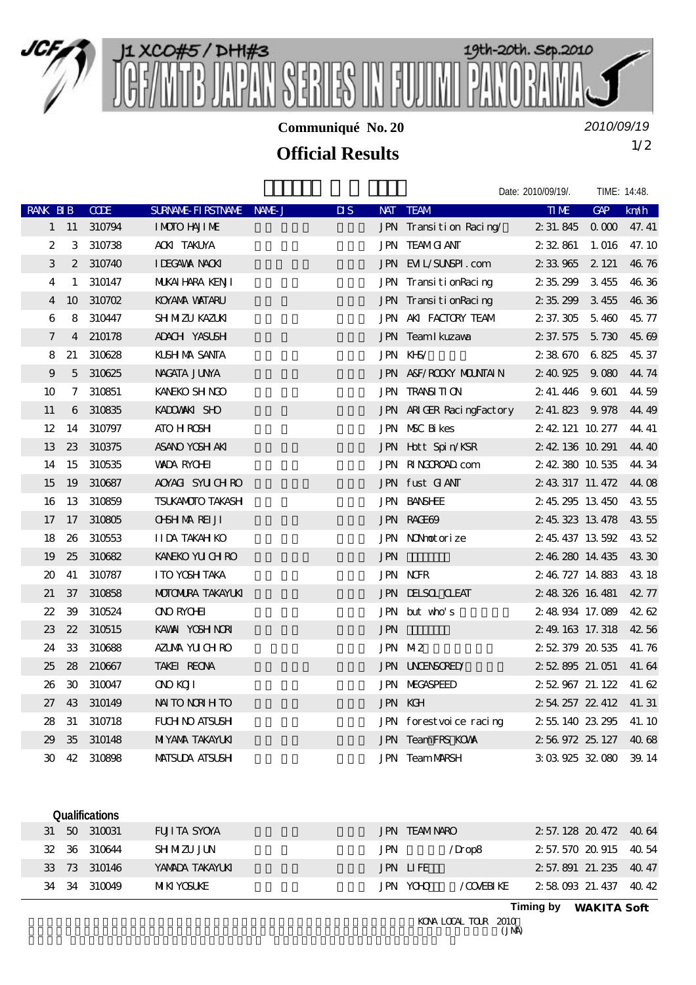

**Communiqué No. 20**

*2010/09/19*

## 1/2 **Official Results**

|                  |              |             |                          |                           |            |                          | Date: 2010/09/19/.    | TIME: 14:48.   |       |
|------------------|--------------|-------------|--------------------------|---------------------------|------------|--------------------------|-----------------------|----------------|-------|
| <b>RANK BIB</b>  |              | <b>CODE</b> | SURNAME FIRSTNAME NAME J | $\overline{\mathbf{u}}$ s |            | NAT TEAM                 | <b>TIME</b>           | GAP            | km/h  |
|                  | $1 \quad 11$ | 310794      | I MOTO HAJI ME           |                           |            | JPN Transition Racing    | 2 31 845              | 0 <sub>0</sub> | 47.41 |
| $\boldsymbol{2}$ |              | 3 310738    | <b>ACKI TAKUYA</b>       |                           |            | <b>JPN TEAMG ANT</b>     | 2 32 861              | 1. 016         | 47.10 |
| 3                |              | 2 310740    | <b>I DEGAWA NACKI</b>    |                           |            | JPN EML/SUNSPI.com       | 2 33 965 2 121        |                | 46.76 |
| $\overline{4}$   | $\mathbf{1}$ | 310147      | MUKAI HARA KENJI         |                           |            | JPN TransitionRacing     | 2 35 299              | 3455           | 46.36 |
| $\overline{4}$   | 10           | 310702      | KOYANA WATARU            |                           |            | JPN TransitionRacing     | 2 35 299 3 455        |                | 46,36 |
| 6                |              | 8 310447    | <b>SH MZU KAZUKI</b>     |                           |            | JPN AKI FACTORY TEAM     | 2 37.305 5.460        |                | 45.77 |
| 7                |              | 4 210178    | ADACH YASUSH             |                           |            | JPN Team I kuzawa        | 2 37.575 5.730        |                | 45.69 |
| 8                | 21           | 310628      | KUSH MA SANTA            |                           |            | JPN KHS/                 | 2 38 670 6 825        |                | 45.37 |
| 9                |              | 5 310625    | NAGATA JUNA              |                           |            | JPN A&F/ROOKY MOUNTAIN   | 2 40 925 9.080        |                | 44.74 |
| 10 <sup>°</sup>  |              | 7 310851    | KANEKO SH NGO            |                           |            | <b>JPN TRANSITION</b>    | 2, 41, 446 9, 601     |                | 44.59 |
| 11               |              | 6 310835    | KADOWANKI SHO            |                           |            | JPN ARIGER RacingFactory | 2 41.823 9.978        |                | 44.49 |
| 12               |              | 14 310797   | <b>ATO H ROSH</b>        |                           |            | JPN NSC Bikes            | 2 42 121 10 277       |                | 44.41 |
| 13               |              | 23 310375   | ASANO YOSH AKI           |                           |            | JPN Hott Spin/KSR        | 2 42 136 10 291       |                | 44.40 |
| 14               | 15           | 310535      | <b>WADA RYCHET</b>       |                           |            | JPN RINGOROAD com        | 2 42 380 10 535       |                | 44.34 |
| 15               | 19           | 310687      | AOYACI SYUCHRO           |                           |            | JPN fust GANT            | 2 43 317 11 472       |                | 44.08 |
| 16               | 13           | 310859      | <b>TSUKANOTO TAKASH</b>  |                           |            | <b>JPN BANSHEE</b>       | 2 45 295 13 450       |                | 43 55 |
| 17               |              | 17 310805   | <b>OBH MAREI JI</b>      |                           |            | JPN RAGE69               | 2 45 323 13 478       |                | 4355  |
| 18               | 26           | 310553      | <b>IIDA TAKAH KO</b>     |                           |            | JPN NONhotorize          | 2 45 437 13 592       |                | 43 52 |
| 19               | 25           | 310682      | KANEKO YU CH RO          |                           | <b>JPN</b> |                          | 2 46 280 14 435       |                | 43 30 |
| $20^{\circ}$     | 41           | 310787      | I TO YOSH TAKA           |                           |            | <b>JPN NOFR</b>          | 2 46 727 14 883       |                | 43 18 |
| 21               | 37           | 310858      | <b>MOTOMIRA TAKAYUKI</b> |                           |            | <b>JPN DELSOL CLEAT</b>  | 2 48 326 16 481       |                | 42.77 |
| 22               | 39           | 310524      | <b>ONO RYCHET</b>        |                           |            | JPN but who's            | 2 48 934 17.089       |                | 42.62 |
| $23\,$           | 22           | 310515      | KAWAI YOSH NORI          |                           | <b>JPN</b> |                          | 2.49, 163, 17, 318    |                | 42.56 |
| 24               | 33           | 310688      | AZUAA YU CHRO            |                           |            | JPN M2                   | 2 52 379 20 535       |                | 41.76 |
| 25               |              | 28 210667   | TAKEI REONA              |                           |            | JPN UNDENGRED            | 2 52 895 21.051       |                | 41.64 |
| 26               | $30^{\circ}$ | 310047      | <b>OND KOJI</b>          |                           |            | <b>JPN MEGASPEED</b>     | 2 52 967 21 122       |                | 41.62 |
| 27               | 43           | 310149      | NAI TO NORIH TO          |                           |            | JPN KGH                  | 2 54 257 22 412       |                | 41.31 |
| 28               | 31           | 310718      | <b>FUH NO ATSUSH</b>     |                           |            | JPN forestvoice racing   | 2 55 140 23 295       |                | 41.10 |
| 29               | $35\,$       | 310148      | <b>MIYANA TAKAYLKI</b>   |                           |            | JPN TeamFRS KOWA         | 2 56 972 25 127 40 68 |                |       |
| 30               |              | 42 310898   | <b>MATSUDA ATSUSH</b>    |                           |            | <b>JPN TeamMARSH</b>     | 3 03 925 32 080 39 14 |                |       |

| <b>Qualifications</b> |                 |                               |                            |
|-----------------------|-----------------|-------------------------------|----------------------------|
| 31 50 310031          | FUJI TA SYOYA   | JPN TEAMNARO                  | $2\,57.128\,20.472\,40.64$ |
| 32 36 310644          | <b>SHMZUJUN</b> | /Drop8<br>JPN.                | 2 57 570 20 915 40 54      |
| 33 73 310146          | YAMADA TAKAYLKI | JPN LIFE                      | 2 57 891 21 235 40 47      |
| 34 34 310049          | MIKI YOSI KE.   | JPN YCHO<br><b>TO THE REP</b> | 2.58.093.21.437 40.42      |
|                       |                 |                               |                            |

**Timing by** *WAKITA Soft*